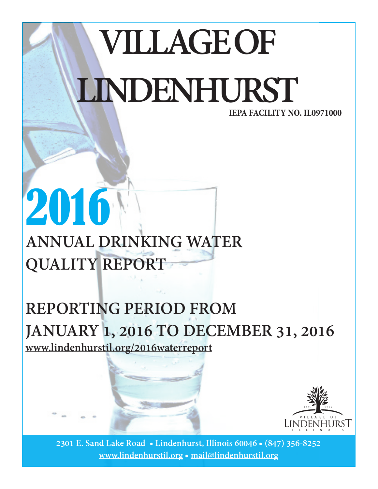# **VILLAGE OF LINDENHURST IEPA FACILITY NO. IL0971000**

## **ANNUAL DRINKING WATER QUALITY REPORT**

2016

### **REPORTING PERIOD FROM JANUARY 1, 2016 TO DECEMBER 31, 2016 www.lindenhurstil.org/2016waterreport**



**2301 E. Sand Lake Road • Lindenhurst, Illinois 60046 • (847) 356-8252 www.lindenhurstil.org • mail@lindenhurstil.org**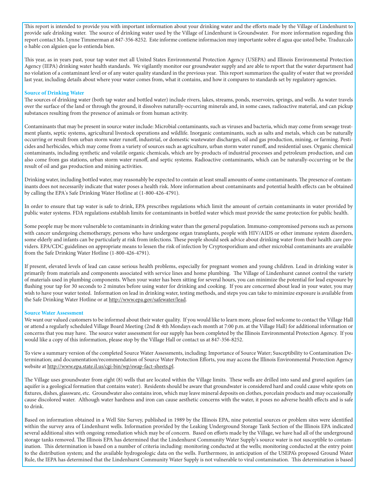This report is intended to provide you with important information about your drinking water and the efforts made by the Village of Lindenhurst to provide safe drinking water. The source of drinking water used by the Village of Lindenhurst is Groundwater. For more information regarding this report contact Ms. Lynne Timmerman at 847-356-8252. Este informe contiene informacion muy importante sobre el agua que usted bebe. Traduzcalo o hable con alguien que lo entienda bien.

This year, as in years past, your tap water met all United States Environmental Protection Agency (USEPA) and Illinois Environmental Protection Agency (IEPA) drinking water health standards. We vigilantly monitor our groundwater supply and are able to report that the water department had no violation of a contaminant level or of any water quality standard in the previous year. This report summarizes the quality of water that we provided last year, including details about where your water comes from, what it contains, and how it compares to standards set by regulatory agencies.

#### **Source of Drinking Water**

The sources of drinking water (both tap water and bottled water) include rivers, lakes, streams, ponds, reservoirs, springs, and wells. As water travels over the surface of the land or through the ground, it dissolves naturally-occurring minerals and, in some cases, radioactive material, and can pickup substances resulting from the presence of animals or from human activity.

Contaminants that may be present in source water include: Microbial contaminants, such as viruses and bacteria, which may come from sewage treatment plants, septic systems, agricultural livestock operations and wildlife. Inorganic contaminants, such as salts and metals, which can be naturally occurring or result from urban storm water runoff, industrial, or domestic wastewater discharges, oil and gas production, mining, or farming. Pesticides and herbicides, which may come from a variety of sources such as agriculture, urban storm water runoff, and residential uses. Organic chemical contaminants, including synthetic and volatile organic chemicals, which are by-products of industrial processes and petroleum production, and can also come from gas stations, urban storm water runoff, and septic systems. Radioactive contaminants, which can be naturally-occurring or be the result of oil and gas production and mining activities.

Drinking water, including bottled water, may reasonably be expected to contain at least small amounts of some contaminants. The presence of contaminants does not necessarily indicate that water poses a health risk. More information about contaminants and potential health effects can be obtained by calling the EPA's Safe Drinking Water Hotline at (1-800-426-4791).

In order to ensure that tap water is safe to drink, EPA prescribes regulations which limit the amount of certain contaminants in water provided by public water systems. FDA regulations establish limits for contaminants in bottled water which must provide the same protection for public health.

Some people may be more vulnerable to contaminants in drinking water than the general population. Immuno-compromised persons such as persons with cancer undergoing chemotherapy, persons who have undergone organ transplants, people with HIV/AIDS or other immune system disorders, some elderly and infants can be particularly at risk from infections. These people should seek advice about drinking water from their health care providers. EPA/CDC guidelines on appropriate means to lessen the risk of infection by Cryptosporidium and other microbial contaminants are available from the Safe Drinking Water Hotline (1-800-426-4791).

If present, elevated levels of lead can cause serious health problems, especially for pregnant women and young children. Lead in drinking water is primarily from materials and components associated with service lines and home plumbing. The Village of Lindenhurst cannot control the variety of materials used in plumbing components. When your water has been sitting for several hours, you can minimize the potential for lead exposure by flushing your tap for 30 seconds to 2 minutes before using water for drinking and cooking. If you are concerned about lead in your water, you may wish to have your water tested. Information on lead in drinking water, testing methods, and steps you can take to minimize exposure is available from the Safe Drinking Water Hotline or at http://www.epa.gov/safewater/lead.

#### **Source Water Assessment**

We want our valued customers to be informed about their water quality. If you would like to learn more, please feel welcome to contact the Village Hall or attend a regularly scheduled Village Board Meeting (2nd & 4th Mondays each month at 7:00 p.m. at the Village Hall) for additional information or concerns that you may have. The source water assessment for our supply has been completed by the Illinois Environmental Protection Agency. If you would like a copy of this information, please stop by the Village Hall or contact us at 847-356-8252.

To view a summary version of the completed Source Water Assessments, including: Importance of Source Water; Susceptibility to Contamination Determination; and documentation/recommendation of Source Water Protection Efforts, you may access the Illinois Environmental Protection Agency website at http://www.epa.state.il.us/cgi-bin/wp/swap-fact-sheets.pl.

The Village uses groundwater from eight (8) wells that are located within the Village limits. These wells are drilled into sand and gravel aquifers (an aquifer is a geological formation that contains water). Residents should be aware that groundwater is considered hard and could cause white spots on fixtures, dishes, glassware, etc. Groundwater also contains iron, which may leave mineral deposits on clothes, porcelain products and may occasionally cause discolored water. Although water hardness and iron can cause aesthetic concerns with the water, it poses no adverse health effects and is safe to drink.

Based on information obtained in a Well Site Survey, published in 1989 by the Illinois EPA, nine potential sources or problem sites were identified within the survey area of Lindenhurst wells. Information provided by the Leaking Underground Storage Tank Section of the Illinois EPA indicated several additional sites with ongoing remediation which may be of concern. Based on efforts made by the Village, we have had all of the underground storage tanks removed. The Illinois EPA has determined that the Lindenhurst Community Water Supply's source water is not susceptible to contamination. This determination is based on a number of criteria including: monitoring conducted at the wells; monitoring conducted at the entry point to the distribution system; and the available hydrogeologic data on the wells. Furthermore, in anticipation of the USEPA's proposed Ground Water Rule, the IEPA has determined that the Lindenhurst Community Water Supply is not vulnerable to viral contamination. This determination is based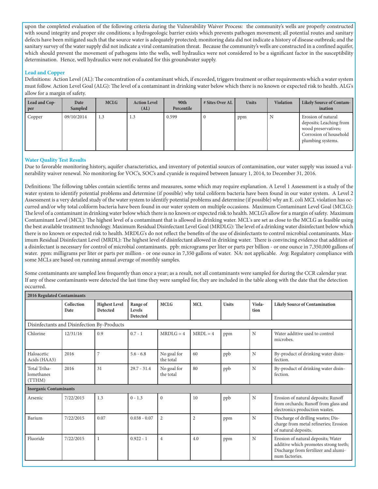upon the completed evaluation of the following criteria during the Vulnerability Waiver Process: the community's wells are properly constructed with sound integrity and proper site conditions; a hydrogeologic barrier exists which prevents pathogen movement; all potential routes and sanitary defects have been mitigated such that the source water is adequately protected; monitoring data did not indicate a history of disease outbreak; and the sanitary survey of the water supply did not indicate a viral contamination threat. Because the community's wells are constructed in a confined aquifer, which should prevent the movement of pathogens into the wells, well hydraulics were not considered to be a significant factor in the susceptibility determination. Hence, well hydraulics were not evaluated for this groundwater supply.

#### **Lead and Copper**

Definitions: Action Level (AL): The concentration of a contaminant which, if exceeded, triggers treatment or other requirements which a water system must follow. Action Level Goal (ALG): The level of a contaminant in drinking water below which there is no known or expected risk to health. ALG's allow for a margin of safety.

| Lead and Cop-<br>per | Date<br>Sampled | <b>MCLG</b> | <b>Action Level</b><br>(AL) | 90th<br>Percentile | # Sites Over AL | <b>Units</b> | <b>Violation</b> | <b>Likely Source of Contam-</b><br>ination                                                                          |
|----------------------|-----------------|-------------|-----------------------------|--------------------|-----------------|--------------|------------------|---------------------------------------------------------------------------------------------------------------------|
| Copper               | 09/10/2014      | 1.3         | 1.3                         | 0.599              |                 | ppm          | N                | Erosion of natural<br>deposits; Leaching from<br>wood preservatives;<br>Corrosion of household<br>plumbing systems. |

#### **Water Quality Test Results**

Due to favorable monitoring history, aquifer characteristics, and inventory of potential sources of contamination, our water supply was issued a vulnerability waiver renewal. No monitoring for VOC's, SOC's and cyanide is required between January 1, 2014, to December 31, 2016.

Definitions: The following tables contain scientific terms and measures, some which may require explanation. A Level 1 Assessment is a study of the water system to identify potential problems and determine (if possible) why total coliform bacteria have been found in our water system. A Level 2 Assessment is a very detailed study of the water system to identify potential problems and determine (if possible) why an E. coli MCL violation has occurred and/or why total coliform bacteria have been found in our water system on multiple occasions. Maximum Contaminant Level Goal (MCLG): The level of a contaminant in drinking water below which there is no known or expected risk to health. MCLG's allow for a margin of safety. Maximum Contaminant Level (MCL): The highest level of a contaminant that is allowed in drinking water. MCL's are set as close to the MCLG as feasible using the best available treatment technology. Maximum Residual Disinfectant Level Goal (MRDLG): The level of a drinking water disinfectant below which there is no known or expected risk to health. MRDLG's do not reflect the benefits of the use of disinfectants to control microbial contaminants. Maximum Residual Disinfectant Level (MRDL): The highest level of disinfectant allowed in drinking water. There is convincing evidence that addition of a disinfectant is necessary for control of microbial contaminants. ppb: micrograms per liter or parts per billion - or one ounce in 7,350,000 gallons of water. ppm: milligrams per liter or parts per million - or one ounce in 7,350 gallons of water. NA: not applicable. Avg: Regulatory compliance with some MCLs are based on running annual average of monthly samples.

Some contaminants are sampled less frequently than once a year; as a result, not all contaminants were sampled for during the CCR calendar year. If any of these contaminants were detected the last time they were sampled for, they are included in the table along with the date that the detection occurred.

| 2016 Regulated Contaminants                |                               |                                         |                                       |                          |                |              |                |                                                                                                                                       |  |  |
|--------------------------------------------|-------------------------------|-----------------------------------------|---------------------------------------|--------------------------|----------------|--------------|----------------|---------------------------------------------------------------------------------------------------------------------------------------|--|--|
|                                            | Collection<br>Date            | <b>Highest Level</b><br><b>Detected</b> | Range of<br>Levels<br><b>Detected</b> | <b>MCLG</b>              | <b>MCL</b>     | <b>Units</b> | Viola-<br>tion | <b>Likely Source of Contamination</b>                                                                                                 |  |  |
| Disinfectants and Disinfection By-Products |                               |                                         |                                       |                          |                |              |                |                                                                                                                                       |  |  |
| Chlorine                                   | 12/31/16                      | 0.9                                     | $0.7 - 1$                             | $MRDI.G = 4$             | $MRDL = 4$     | ppm          | $\mathbf N$    | Water additive used to control<br>microbes.                                                                                           |  |  |
| Haloacetic<br>Acids (HAA5)                 | 2016                          | 7                                       | $5.6 - 6.8$                           | No goal for<br>the total | 60             | ppb          | N              | By-product of drinking water disin-<br>fection.                                                                                       |  |  |
| Total Triha-<br>lomethanes<br>(TTHM)       | 2016                          | 31                                      | $29.7 - 31.4$                         | No goal for<br>the total | 80             | ppb          | $\overline{N}$ | By-product of drinking water disin-<br>fection.                                                                                       |  |  |
|                                            | <b>Inorganic Contaminants</b> |                                         |                                       |                          |                |              |                |                                                                                                                                       |  |  |
| Arsenic                                    | 7/22/2015                     | 1.3                                     | $0 - 1.3$                             | $\mathbf{0}$             | 10             | ppb          | N              | Erosion of natural deposits; Runoff<br>from orchards; Runoff from glass and<br>electronics production wastes.                         |  |  |
| Barium                                     | 7/22/2015                     | 0.07                                    | $0.038 - 0.07$                        | $\overline{2}$           | $\overline{2}$ | ppm          | $\overline{N}$ | Discharge of drilling wastes; Dis-<br>charge from metal refineries; Erosion<br>of natural deposits.                                   |  |  |
| Fluoride                                   | 7/22/2015                     | 1                                       | $0.922 - 1$                           | $\overline{4}$           | 4.0            | ppm          | N              | Erosion of natural deposits; Water<br>additive which promotes strong teeth;<br>Discharge from fertilizer and alumi-<br>num factories. |  |  |